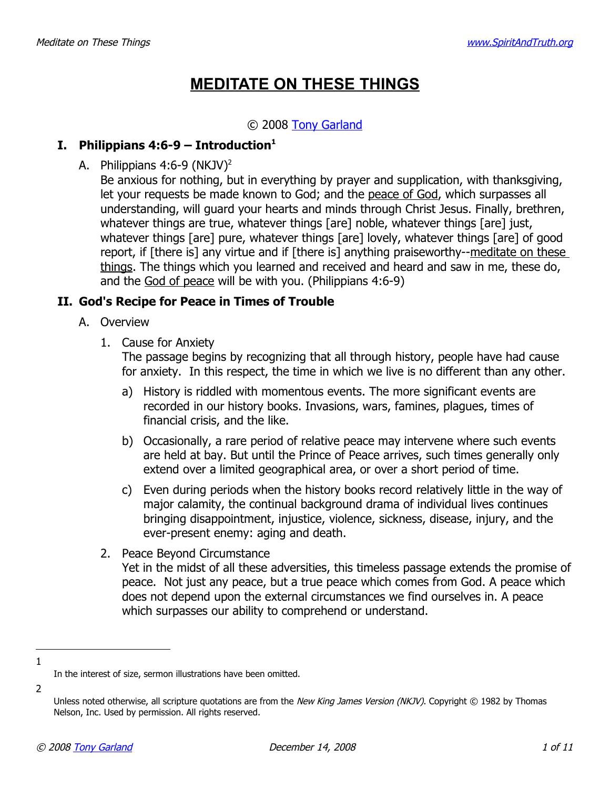## **MEDITATE ON THESE THINGS**

#### © 2008 [Tony Garland](http://www.SpiritAndTruth.org/id/tg.htm)

#### **I.** Philippians  $4:6-9$  – Introduction<sup>[1](#page-0-0)</sup>

A. Philippians  $4:6-9$  (NKJV)<sup>[2](#page-0-1)</sup>

Be anxious for nothing, but in everything by prayer and supplication, with thanksgiving, let your requests be made known to God; and the peace of God, which surpasses all understanding, will guard your hearts and minds through Christ Jesus. Finally, brethren, whatever things are true, whatever things [are] noble, whatever things [are] just, whatever things [are] pure, whatever things [are] lovely, whatever things [are] of good report, if [there is] any virtue and if [there is] anything praiseworthy--meditate on these things. The things which you learned and received and heard and saw in me, these do, and the God of peace will be with you. (Philippians 4:6-9)

#### **II. God's Recipe for Peace in Times of Trouble**

- A. Overview
	- 1. Cause for Anxiety

The passage begins by recognizing that all through history, people have had cause for anxiety. In this respect, the time in which we live is no different than any other.

- a) History is riddled with momentous events. The more significant events are recorded in our history books. Invasions, wars, famines, plagues, times of financial crisis, and the like.
- b) Occasionally, a rare period of relative peace may intervene where such events are held at bay. But until the Prince of Peace arrives, such times generally only extend over a limited geographical area, or over a short period of time.
- c) Even during periods when the history books record relatively little in the way of major calamity, the continual background drama of individual lives continues bringing disappointment, injustice, violence, sickness, disease, injury, and the ever-present enemy: aging and death.
- 2. Peace Beyond Circumstance Yet in the midst of all these adversities, this timeless passage extends the promise of peace. Not just any peace, but a true peace which comes from God. A peace which does not depend upon the external circumstances we find ourselves in. A peace which surpasses our ability to comprehend or understand.
- 1

<span id="page-0-0"></span>In the interest of size, sermon illustrations have been omitted.

<span id="page-0-1"></span>Unless noted otherwise, all scripture quotations are from the New King James Version (NKJV). Copyright © 1982 by Thomas Nelson, Inc. Used by permission. All rights reserved.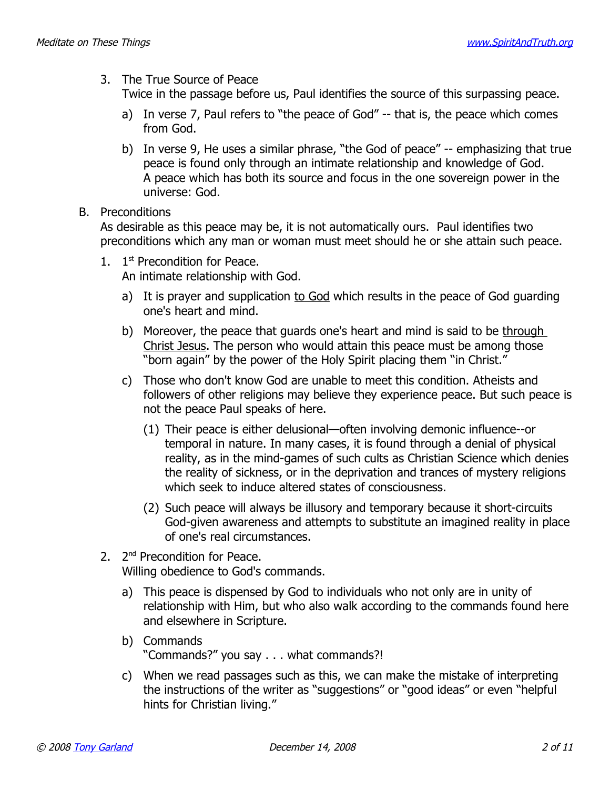3. The True Source of Peace

Twice in the passage before us, Paul identifies the source of this surpassing peace.

- a) In verse 7, Paul refers to "the peace of God" -- that is, the peace which comes from God.
- b) In verse 9, He uses a similar phrase, "the God of peace" -- emphasizing that true peace is found only through an intimate relationship and knowledge of God. A peace which has both its source and focus in the one sovereign power in the universe: God.
- B. Preconditions

As desirable as this peace may be, it is not automatically ours. Paul identifies two preconditions which any man or woman must meet should he or she attain such peace.

- 1. 1<sup>st</sup> Precondition for Peace. An intimate relationship with God.
	- a) It is prayer and supplication to God which results in the peace of God guarding one's heart and mind.
	- b) Moreover, the peace that guards one's heart and mind is said to be through Christ Jesus. The person who would attain this peace must be among those "born again" by the power of the Holy Spirit placing them "in Christ."
	- c) Those who don't know God are unable to meet this condition. Atheists and followers of other religions may believe they experience peace. But such peace is not the peace Paul speaks of here.
		- (1) Their peace is either delusional—often involving demonic influence--or temporal in nature. In many cases, it is found through a denial of physical reality, as in the mind-games of such cults as Christian Science which denies the reality of sickness, or in the deprivation and trances of mystery religions which seek to induce altered states of consciousness.
		- (2) Such peace will always be illusory and temporary because it short-circuits God-given awareness and attempts to substitute an imagined reality in place of one's real circumstances.
- 2. 2<sup>nd</sup> Precondition for Peace. Willing obedience to God's commands.
	- a) This peace is dispensed by God to individuals who not only are in unity of relationship with Him, but who also walk according to the commands found here and elsewhere in Scripture.
	- b) Commands "Commands?" you say . . . what commands?!
	- c) When we read passages such as this, we can make the mistake of interpreting the instructions of the writer as "suggestions" or "good ideas" or even "helpful hints for Christian living."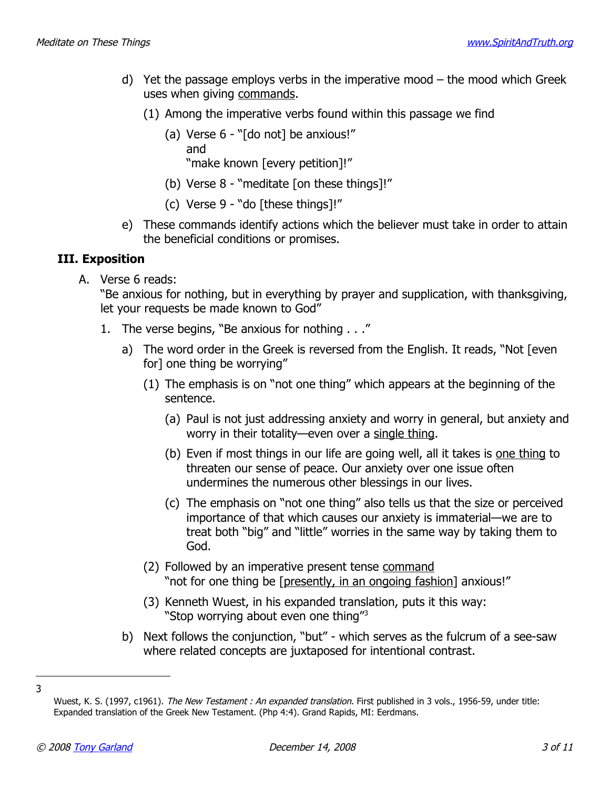- d) Yet the passage employs verbs in the imperative mood the mood which Greek uses when giving commands.
	- (1) Among the imperative verbs found within this passage we find
		- (a) Verse 6 "[do not] be anxious!" and "make known [every petition]!"
		- (b) Verse 8 "meditate [on these things]!"
		- (c) Verse 9 "do [these things]!"
- e) These commands identify actions which the believer must take in order to attain the beneficial conditions or promises.

#### **III. Exposition**

A. Verse 6 reads:

"Be anxious for nothing, but in everything by prayer and supplication, with thanksgiving, let your requests be made known to God"

- 1. The verse begins, "Be anxious for nothing . . ."
	- a) The word order in the Greek is reversed from the English. It reads, "Not [even for] one thing be worrying"
		- (1) The emphasis is on "not one thing" which appears at the beginning of the sentence.
			- (a) Paul is not just addressing anxiety and worry in general, but anxiety and worry in their totality—even over a single thing.
			- (b) Even if most things in our life are going well, all it takes is one thing to threaten our sense of peace. Our anxiety over one issue often undermines the numerous other blessings in our lives.
			- (c) The emphasis on "not one thing" also tells us that the size or perceived importance of that which causes our anxiety is immaterial—we are to treat both "big" and "little" worries in the same way by taking them to God.
		- (2) Followed by an imperative present tense command "not for one thing be [presently, in an ongoing fashion] anxious!"
		- (3) Kenneth Wuest, in his expanded translation, puts it this way: "Stop worrying about even one thing"<sup>[3](#page-2-0)</sup>
	- b) Next follows the conjunction, "but" which serves as the fulcrum of a see-saw where related concepts are juxtaposed for intentional contrast.

<sup>3</sup>

<span id="page-2-0"></span>Wuest, K. S. (1997, c1961). The New Testament : An expanded translation. First published in 3 vols., 1956-59, under title: Expanded translation of the Greek New Testament. (Php 4:4). Grand Rapids, MI: Eerdmans.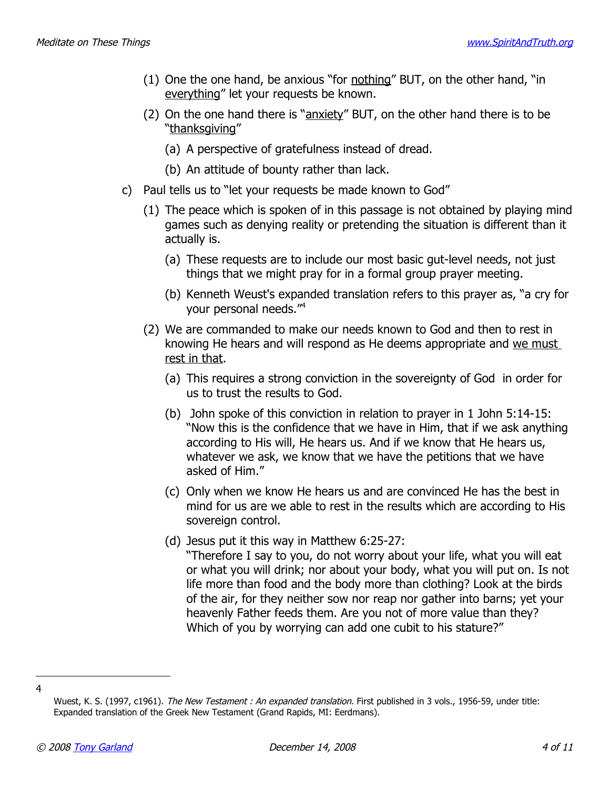- (1) One the one hand, be anxious "for nothing" BUT, on the other hand, "in everything" let your requests be known.
- (2) On the one hand there is "anxiety" BUT, on the other hand there is to be "thanksgiving"
	- (a) A perspective of gratefulness instead of dread.
	- (b) An attitude of bounty rather than lack.
- c) Paul tells us to "let your requests be made known to God"
	- (1) The peace which is spoken of in this passage is not obtained by playing mind games such as denying reality or pretending the situation is different than it actually is.
		- (a) These requests are to include our most basic gut-level needs, not just things that we might pray for in a formal group prayer meeting.
		- (b) Kenneth Weust's expanded translation refers to this prayer as, "a cry for your personal needs."[4](#page-3-0)
	- (2) We are commanded to make our needs known to God and then to rest in knowing He hears and will respond as He deems appropriate and we must rest in that.
		- (a) This requires a strong conviction in the sovereignty of God in order for us to trust the results to God.
		- (b) John spoke of this conviction in relation to prayer in 1 John 5:14-15: "Now this is the confidence that we have in Him, that if we ask anything according to His will, He hears us. And if we know that He hears us, whatever we ask, we know that we have the petitions that we have asked of Him."
		- (c) Only when we know He hears us and are convinced He has the best in mind for us are we able to rest in the results which are according to His sovereign control.
		- (d) Jesus put it this way in Matthew 6:25-27: "Therefore I say to you, do not worry about your life, what you will eat or what you will drink; nor about your body, what you will put on. Is not life more than food and the body more than clothing? Look at the birds of the air, for they neither sow nor reap nor gather into barns; yet your heavenly Father feeds them. Are you not of more value than they? Which of you by worrying can add one cubit to his stature?"

<sup>4</sup>

<span id="page-3-0"></span>Wuest, K. S. (1997, c1961). The New Testament : An expanded translation. First published in 3 vols., 1956-59, under title: Expanded translation of the Greek New Testament (Grand Rapids, MI: Eerdmans).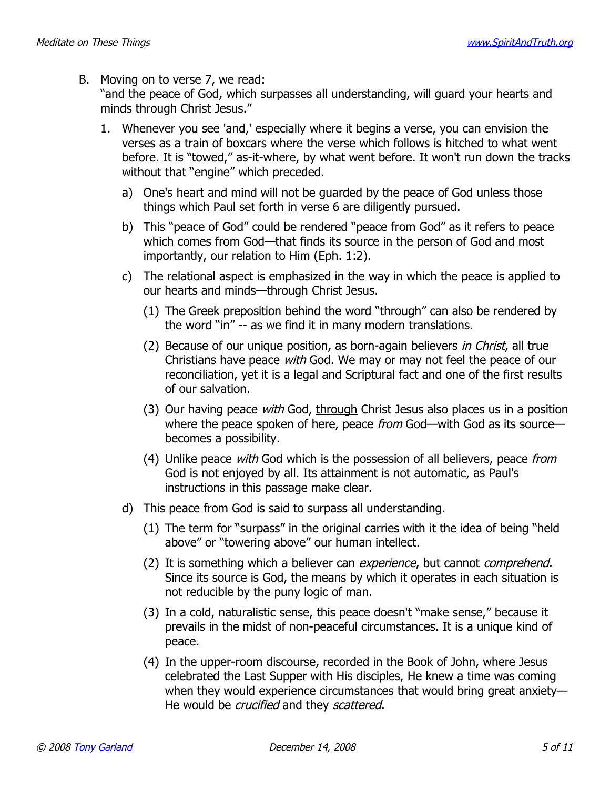B. Moving on to verse 7, we read:

"and the peace of God, which surpasses all understanding, will guard your hearts and minds through Christ Jesus."

- 1. Whenever you see 'and,' especially where it begins a verse, you can envision the verses as a train of boxcars where the verse which follows is hitched to what went before. It is "towed," as-it-where, by what went before. It won't run down the tracks without that "engine" which preceded.
	- a) One's heart and mind will not be guarded by the peace of God unless those things which Paul set forth in verse 6 are diligently pursued.
	- b) This "peace of God" could be rendered "peace from God" as it refers to peace which comes from God—that finds its source in the person of God and most importantly, our relation to Him (Eph. 1:2).
	- c) The relational aspect is emphasized in the way in which the peace is applied to our hearts and minds—through Christ Jesus.
		- (1) The Greek preposition behind the word "through" can also be rendered by the word "in" -- as we find it in many modern translations.
		- (2) Because of our unique position, as born-again believers in Christ, all true Christians have peace with God. We may or may not feel the peace of our reconciliation, yet it is a legal and Scriptural fact and one of the first results of our salvation.
		- (3) Our having peace *with* God, through Christ Jesus also places us in a position where the peace spoken of here, peace from God—with God as its source becomes a possibility.
		- (4) Unlike peace with God which is the possession of all believers, peace from God is not enjoyed by all. Its attainment is not automatic, as Paul's instructions in this passage make clear.
	- d) This peace from God is said to surpass all understanding.
		- (1) The term for "surpass" in the original carries with it the idea of being "held above" or "towering above" our human intellect.
		- (2) It is something which a believer can *experience*, but cannot *comprehend*. Since its source is God, the means by which it operates in each situation is not reducible by the puny logic of man.
		- (3) In a cold, naturalistic sense, this peace doesn't "make sense," because it prevails in the midst of non-peaceful circumstances. It is a unique kind of peace.
		- (4) In the upper-room discourse, recorded in the Book of John, where Jesus celebrated the Last Supper with His disciples, He knew a time was coming when they would experience circumstances that would bring great anxiety— He would be *crucified* and they scattered.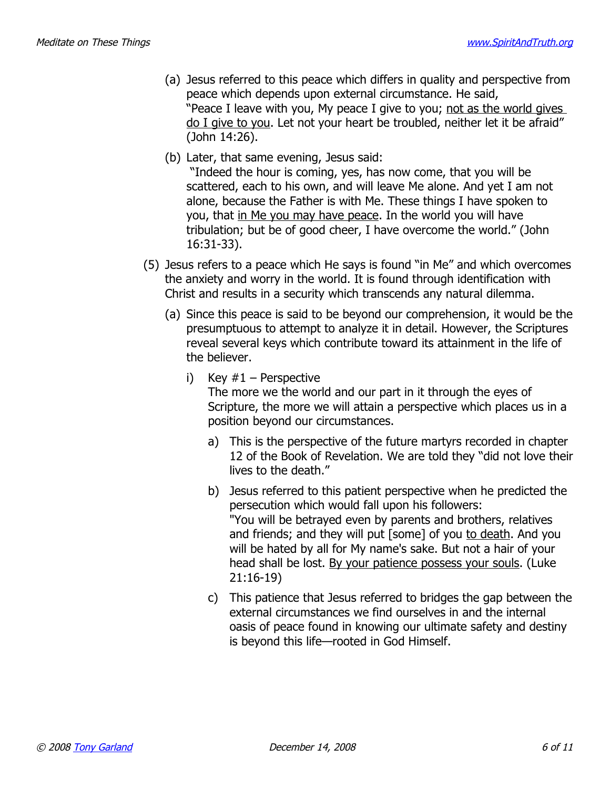- (a) Jesus referred to this peace which differs in quality and perspective from peace which depends upon external circumstance. He said, "Peace I leave with you, My peace I give to you; not as the world gives do I give to you. Let not your heart be troubled, neither let it be afraid" (John 14:26).
- (b) Later, that same evening, Jesus said:

 "Indeed the hour is coming, yes, has now come, that you will be scattered, each to his own, and will leave Me alone. And yet I am not alone, because the Father is with Me. These things I have spoken to you, that in Me you may have peace. In the world you will have tribulation; but be of good cheer, I have overcome the world." (John 16:31-33).

- (5) Jesus refers to a peace which He says is found "in Me" and which overcomes the anxiety and worry in the world. It is found through identification with Christ and results in a security which transcends any natural dilemma.
	- (a) Since this peace is said to be beyond our comprehension, it would be the presumptuous to attempt to analyze it in detail. However, the Scriptures reveal several keys which contribute toward its attainment in the life of the believer.
		- i) Key  $#1$  Perspective

The more we the world and our part in it through the eyes of Scripture, the more we will attain a perspective which places us in a position beyond our circumstances.

- a) This is the perspective of the future martyrs recorded in chapter 12 of the Book of Revelation. We are told they "did not love their lives to the death."
- b) Jesus referred to this patient perspective when he predicted the persecution which would fall upon his followers: "You will be betrayed even by parents and brothers, relatives and friends; and they will put [some] of you to death. And you will be hated by all for My name's sake. But not a hair of your head shall be lost. By your patience possess your souls. (Luke 21:16-19)
- c) This patience that Jesus referred to bridges the gap between the external circumstances we find ourselves in and the internal oasis of peace found in knowing our ultimate safety and destiny is beyond this life—rooted in God Himself.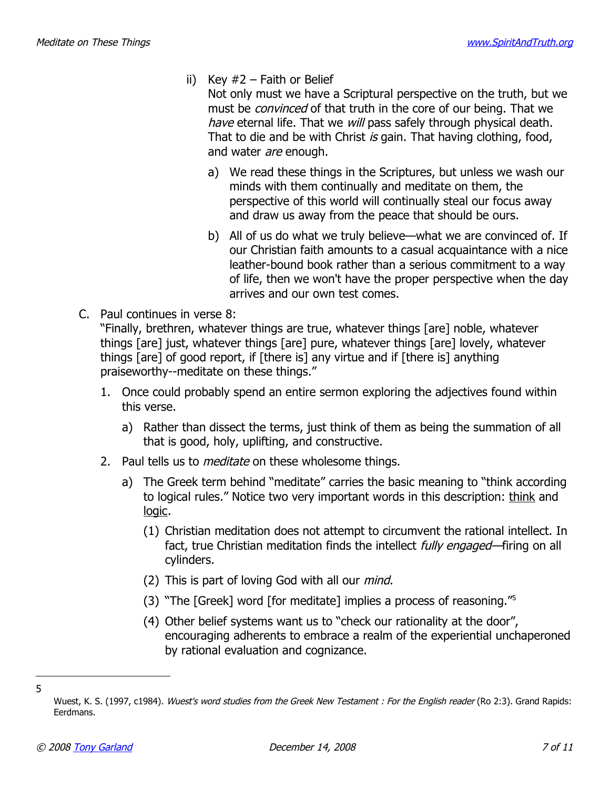- ii) Key  $#2$  Faith or Belief
	- Not only must we have a Scriptural perspective on the truth, but we must be *convinced* of that truth in the core of our being. That we have eternal life. That we will pass safely through physical death. That to die and be with Christ is gain. That having clothing, food, and water *are* enough.
	- a) We read these things in the Scriptures, but unless we wash our minds with them continually and meditate on them, the perspective of this world will continually steal our focus away and draw us away from the peace that should be ours.
	- b) All of us do what we truly believe—what we are convinced of. If our Christian faith amounts to a casual acquaintance with a nice leather-bound book rather than a serious commitment to a way of life, then we won't have the proper perspective when the day arrives and our own test comes.
- C. Paul continues in verse 8:

"Finally, brethren, whatever things are true, whatever things [are] noble, whatever things [are] just, whatever things [are] pure, whatever things [are] lovely, whatever things [are] of good report, if [there is] any virtue and if [there is] anything praiseworthy--meditate on these things."

- 1. Once could probably spend an entire sermon exploring the adjectives found within this verse.
	- a) Rather than dissect the terms, just think of them as being the summation of all that is good, holy, uplifting, and constructive.
- 2. Paul tells us to *meditate* on these wholesome things.
	- a) The Greek term behind "meditate" carries the basic meaning to "think according to logical rules." Notice two very important words in this description: think and logic.
		- (1) Christian meditation does not attempt to circumvent the rational intellect. In fact, true Christian meditation finds the intellect *fully engaged*—firing on all cylinders.
		- (2) This is part of loving God with all our *mind*.
		- (3) "The [Greek] word [for meditate] implies a process of reasoning."[5](#page-6-0)
		- (4) Other belief systems want us to "check our rationality at the door", encouraging adherents to embrace a realm of the experiential unchaperoned by rational evaluation and cognizance.

<span id="page-6-0"></span>Wuest, K. S. (1997, c1984). Wuest's word studies from the Greek New Testament : For the English reader (Ro 2:3). Grand Rapids: Eerdmans.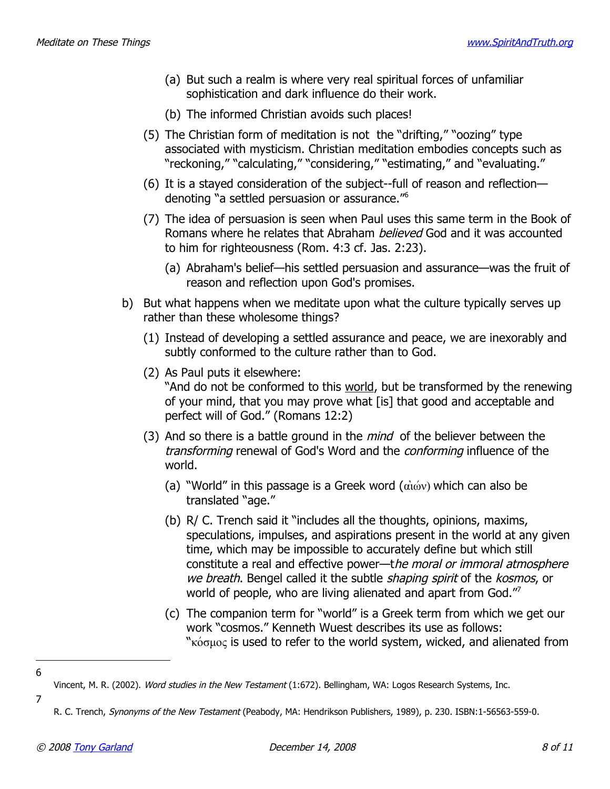- (a) But such a realm is where very real spiritual forces of unfamiliar sophistication and dark influence do their work.
- (b) The informed Christian avoids such places!
- (5) The Christian form of meditation is not the "drifting," "oozing" type associated with mysticism. Christian meditation embodies concepts such as "reckoning," "calculating," "considering," "estimating," and "evaluating."
- (6) It is a stayed consideration of the subject--full of reason and reflection denoting "a settled persuasion or assurance."[6](#page-7-0)
- (7) The idea of persuasion is seen when Paul uses this same term in the Book of Romans where he relates that Abraham *believed* God and it was accounted to him for righteousness (Rom. 4:3 cf. Jas. 2:23).
	- (a) Abraham's belief—his settled persuasion and assurance—was the fruit of reason and reflection upon God's promises.
- b) But what happens when we meditate upon what the culture typically serves up rather than these wholesome things?
	- (1) Instead of developing a settled assurance and peace, we are inexorably and subtly conformed to the culture rather than to God.
	- (2) As Paul puts it elsewhere: "And do not be conformed to this world, but be transformed by the renewing of your mind, that you may prove what [is] that good and acceptable and perfect will of God." (Romans 12:2)
	- (3) And so there is a battle ground in the *mind* of the believer between the transforming renewal of God's Word and the conforming influence of the world.
		- (a) "World" in this passage is a Greek word  $(\vec{\alpha} \cdot \vec{\omega})$  which can also be translated "age."
		- (b) R/ C. Trench said it "includes all the thoughts, opinions, maxims, speculations, impulses, and aspirations present in the world at any given time, which may be impossible to accurately define but which still constitute a real and effective power—the moral or immoral atmosphere we breath. Bengel called it the subtle shaping spirit of the kosmos, or world of people, who are living alienated and apart from God."[7](#page-7-1)
		- (c) The companion term for "world" is a Greek term from which we get our work "cosmos." Kenneth Wuest describes its use as follows: " $x_{\text{0}}$ <sub>k</sub> $\alpha$  is used to refer to the world system, wicked, and alienated from

<sup>6</sup>

<span id="page-7-0"></span>Vincent, M. R. (2002). Word studies in the New Testament (1:672). Bellingham, WA: Logos Research Systems, Inc.

<span id="page-7-1"></span>R. C. Trench, Synonyms of the New Testament (Peabody, MA: Hendrikson Publishers, 1989), p. 230. ISBN:1-56563-559-0.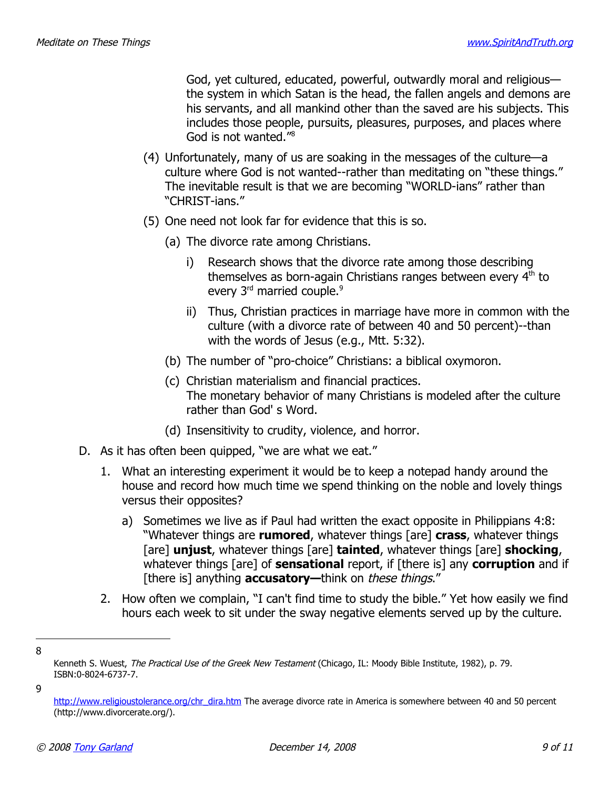God, yet cultured, educated, powerful, outwardly moral and religious the system in which Satan is the head, the fallen angels and demons are his servants, and all mankind other than the saved are his subjects. This includes those people, pursuits, pleasures, purposes, and places where God is not wanted."[8](#page-8-0)

- (4) Unfortunately, many of us are soaking in the messages of the culture—a culture where God is not wanted--rather than meditating on "these things." The inevitable result is that we are becoming "WORLD-ians" rather than "CHRIST-ians."
- (5) One need not look far for evidence that this is so.
	- (a) The divorce rate among Christians.
		- i) Research shows that the divorce rate among those describing themselves as born-again Christians ranges between every 4<sup>th</sup> to every 3<sup>rd</sup> married couple.<sup>[9](#page-8-1)</sup>
		- ii) Thus, Christian practices in marriage have more in common with the culture (with a divorce rate of between 40 and 50 percent)--than with the words of Jesus (e.g., Mtt. 5:32).
	- (b) The number of "pro-choice" Christians: a biblical oxymoron.
	- (c) Christian materialism and financial practices. The monetary behavior of many Christians is modeled after the culture rather than God' s Word.
	- (d) Insensitivity to crudity, violence, and horror.
- D. As it has often been quipped, "we are what we eat."
	- 1. What an interesting experiment it would be to keep a notepad handy around the house and record how much time we spend thinking on the noble and lovely things versus their opposites?
		- a) Sometimes we live as if Paul had written the exact opposite in Philippians 4:8: "Whatever things are **rumored**, whatever things [are] **crass**, whatever things [are] **unjust**, whatever things [are] **tainted**, whatever things [are] **shocking**, whatever things [are] of **sensational** report, if [there is] any **corruption** and if [there is] anything **accusatory**—think on *these things.*"
	- 2. How often we complain, "I can't find time to study the bible." Yet how easily we find hours each week to sit under the sway negative elements served up by the culture.
- 8

<span id="page-8-0"></span>Kenneth S. Wuest, The Practical Use of the Greek New Testament (Chicago, IL: Moody Bible Institute, 1982), p. 79. ISBN:0-8024-6737-7.

<sup>9</sup>

<span id="page-8-1"></span>http://www.religioustolerance.org/chr\_dira.htm The average divorce rate in America is somewhere between 40 and 50 percent (http://www.divorcerate.org/).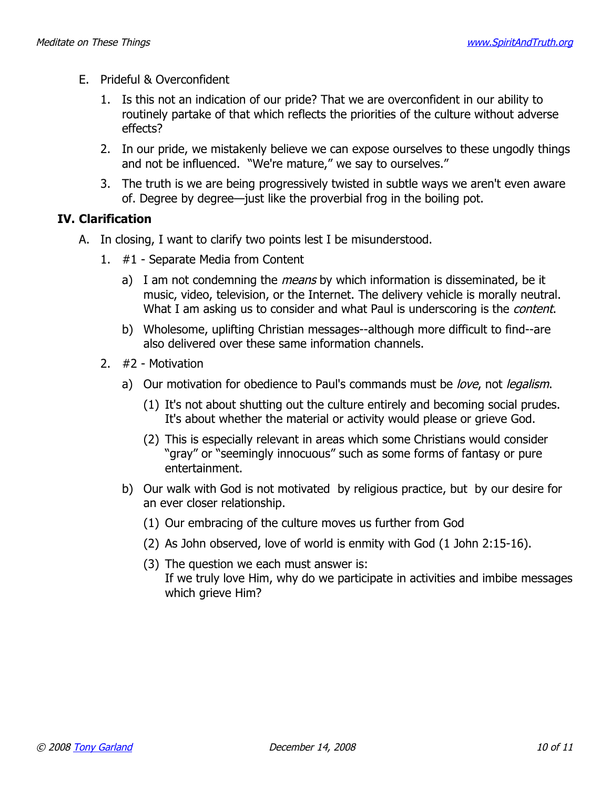- E. Prideful & Overconfident
	- 1. Is this not an indication of our pride? That we are overconfident in our ability to routinely partake of that which reflects the priorities of the culture without adverse effects?
	- 2. In our pride, we mistakenly believe we can expose ourselves to these ungodly things and not be influenced. "We're mature," we say to ourselves."
	- 3. The truth is we are being progressively twisted in subtle ways we aren't even aware of. Degree by degree—just like the proverbial frog in the boiling pot.

#### **IV. Clarification**

- A. In closing, I want to clarify two points lest I be misunderstood.
	- 1. #1 Separate Media from Content
		- a) I am not condemning the *means* by which information is disseminated, be it music, video, television, or the Internet. The delivery vehicle is morally neutral. What I am asking us to consider and what Paul is underscoring is the *content*.
		- b) Wholesome, uplifting Christian messages--although more difficult to find--are also delivered over these same information channels.
	- 2. #2 Motivation
		- a) Our motivation for obedience to Paul's commands must be love, not legalism.
			- (1) It's not about shutting out the culture entirely and becoming social prudes. It's about whether the material or activity would please or grieve God.
			- (2) This is especially relevant in areas which some Christians would consider "gray" or "seemingly innocuous" such as some forms of fantasy or pure entertainment.
		- b) Our walk with God is not motivated by religious practice, but by our desire for an ever closer relationship.
			- (1) Our embracing of the culture moves us further from God
			- (2) As John observed, love of world is enmity with God (1 John 2:15-16).
			- (3) The question we each must answer is: If we truly love Him, why do we participate in activities and imbibe messages which grieve Him?